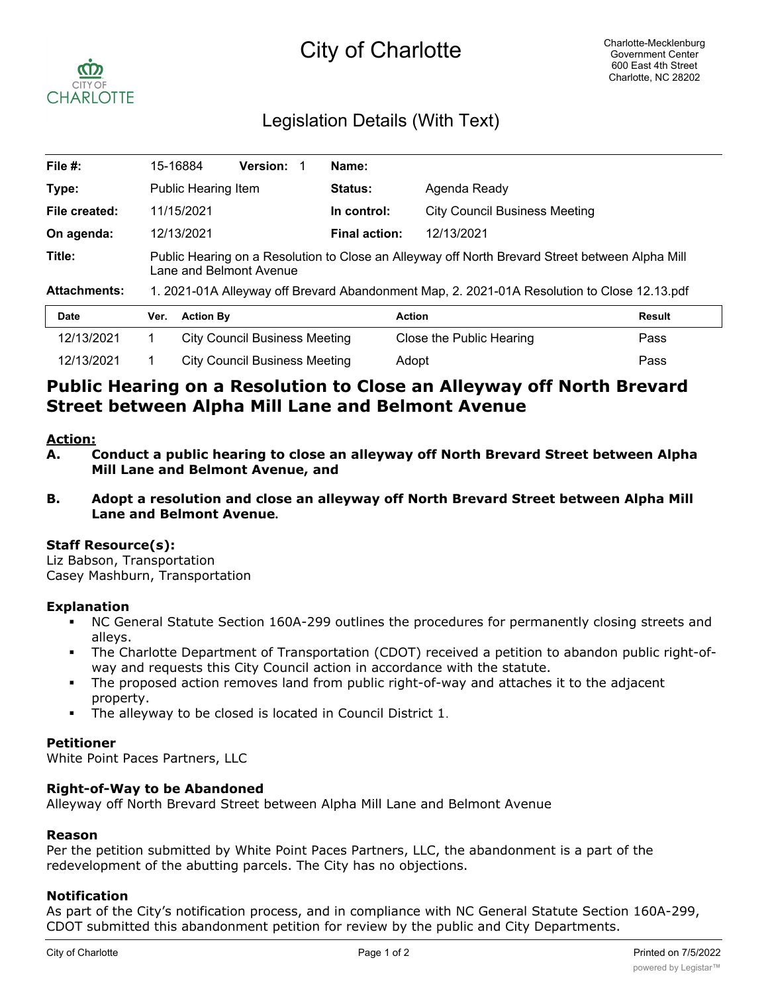# City of Charlotte



### Legislation Details (With Text)

| File $#$ :          |                                                                                                                            | 15-16884         | <b>Version:</b>               |  | Name:          |                                      |        |  |
|---------------------|----------------------------------------------------------------------------------------------------------------------------|------------------|-------------------------------|--|----------------|--------------------------------------|--------|--|
| Type:               | Public Hearing Item                                                                                                        |                  |                               |  | <b>Status:</b> | Agenda Ready                         |        |  |
| File created:       |                                                                                                                            | 11/15/2021       |                               |  | In control:    | <b>City Council Business Meeting</b> |        |  |
| On agenda:          | 12/13/2021                                                                                                                 |                  |                               |  | Final action:  | 12/13/2021                           |        |  |
| Title:              | Public Hearing on a Resolution to Close an Alleyway off North Brevard Street between Alpha Mill<br>Lane and Belmont Avenue |                  |                               |  |                |                                      |        |  |
| <b>Attachments:</b> | 1. 2021-01A Alleyway off Brevard Abandonment Map, 2. 2021-01A Resolution to Close 12.13.pdf                                |                  |                               |  |                |                                      |        |  |
| <b>Date</b>         | Ver.                                                                                                                       | <b>Action By</b> |                               |  |                | <b>Action</b>                        | Result |  |
| 12/13/2021          |                                                                                                                            |                  | City Council Business Meeting |  |                | Close the Public Hearing             | Pass   |  |

## **Public Hearing on a Resolution to Close an Alleyway off North Brevard Street between Alpha Mill Lane and Belmont Avenue**

12/13/2021 1 City Council Business Meeting Adopt Pass

#### **Action:**

- **A. Conduct a public hearing to close an alleyway off North Brevard Street between Alpha Mill Lane and Belmont Avenue, and**
- **B. Adopt a resolution and close an alleyway off North Brevard Street between Alpha Mill Lane and Belmont Avenue.**

#### **Staff Resource(s):**

Liz Babson, Transportation Casey Mashburn, Transportation

#### **Explanation**

- § NC General Statute Section 160A-299 outlines the procedures for permanently closing streets and alleys.
- The Charlotte Department of Transportation (CDOT) received a petition to abandon public right-ofway and requests this City Council action in accordance with the statute.
- The proposed action removes land from public right-of-way and attaches it to the adjacent property.
- The alleyway to be closed is located in Council District 1.

#### **Petitioner**

White Point Paces Partners, LLC

#### **Right-of-Way to be Abandoned**

Alleyway off North Brevard Street between Alpha Mill Lane and Belmont Avenue

#### **Reason**

Per the petition submitted by White Point Paces Partners, LLC, the abandonment is a part of the redevelopment of the abutting parcels. The City has no objections.

#### **Notification**

As part of the City's notification process, and in compliance with NC General Statute Section 160A-299, CDOT submitted this abandonment petition for review by the public and City Departments.